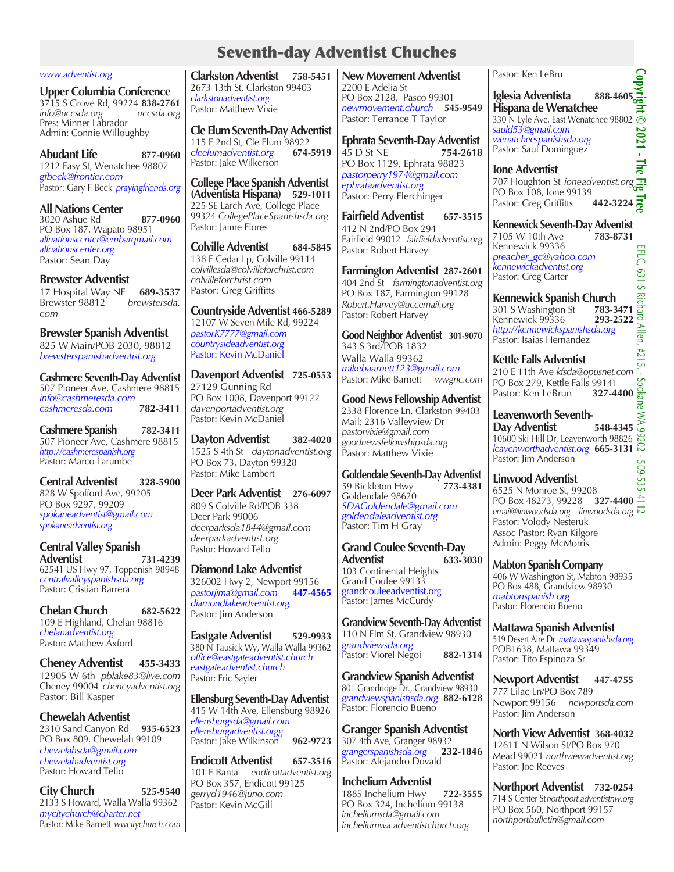## Seventh-day Adventist Chuches

#### *www.adventist.org*

**Upper Columbia Conference** 3715 S Grove Rd, 99224 **838-2761** *info@uccsda.org uccsda.org*  Pres: Minner Labrador Admin: Connie Willoughby

**Abudant Life 877-0960** 1212 Easy St, Wenatchee 98807 *gfbeck@frontier.com* Pastor: Gary F Beck *prayingfriends.org* 

**All Nations Center** 3020 Ashue Rd **877-0960** PO Box 187, Wapato 98951 *allnationscenter@embarqmail.com allnationscenter.org*  Pastor: Sean Day

**Brewster Adventist**  17 Hospital Way NE **689-3537** Brewster 98812<sup><sup>2</sup></sup> *com*

**Brewster Spanish Adventist** 825 W Main/POB 2030, 98812

*brewsterspanishadventist.org*

**Cashmere Seventh-Day Adventist** 507 Pioneer Ave, Cashmere 98815 *info@cashmeresda.com cashmeresda.com* **782-3411**

**Cashmere Spanish 782-3411** 507 Pioneer Ave, Cashmere 98815 *http://cashmerespanish.org* Pastor: Marco Larumbe

**Central Adventist 328-5900** 828 W Spofford Ave, 99205 PO Box 9297, 99209 *spokaneadventist@gmail.com spokaneadventist.org*

**Central Valley Spanish Adventist 731-4239** 62541 US Hwy 97, Toppenish 98948 *centralvalleyspanishsda.org* Pastor: Cristian Barrera

**Chelan Church 682-5622** 109 E Highland, Chelan 98816 *chelanadventist.org* Pastor: Matthew Axford

**Cheney Adventist 455-3433** 12905 W 6th *pblake83@live.com* Cheney 99004 *cheneyadventist.org* Pastor: Bill Kasper

#### **Chewelah Adventist**

2310 Sand Canyon Rd **935-6523**  PO Box 809, Chewelah 99109 *chewelahsda@gmail.com chewelahadventist.org* Pastor: Howard Tello

**City Church 525-9540** 2133 S Howard, Walla Walla 99362 *mycitychurch@charter.net*  Pastor: Mike Barnett *wwcitychurch.com*

**Clarkston Adventist 758-5451** 2673 13th St, Clarkston 99403 *clarkstonadventist.org* Pastor: Matthew Vixie

**Cle Elum Seventh-Day Adventist**  115 E 2nd St, Cle Elum 98922<br>cleelumadventist.org 674-5919  $cleelumadventist.org$ Pastor: Jake Wilkerson

**College Place Spanish Adventist (Adventista Hispana) 529-1011** 225 SE Larch Ave, College Place 99324 *CollegePlaceSpanishsda.org* Pastor: Jaime Flores

**Colville Adventist 684-5845** 138 E Cedar Lp, Colville 99114 *colvillesda@colvilleforchrist.com colvilleforchrist.com* Pastor: Greg Griffitts

**Countryside Adventist 466-5289** 12107 W Seven Mile Rd, 99224 *pastorK7777@gmail.com countrysideadventist.org* Pastor: Kevin McDaniel

**Davenport Adventist 725-0553** 27129 Gunning Rd PO Box 1008, Davenport 99122 *davenportadventist.org*

Pastor: Kevin McDaniel

**Dayton Adventist 382-4020** 1525 S 4th St *daytonadventist.org* PO Box 73, Dayton 99328 Pastor: Mike Lambert

**Deer Park Adventist 276-6097** 809 S Colville Rd/POB 338 Deer Park 99006 *deerparksda1844@gmail.com deerparkadventist.org*  Pastor: Howard Tello

**Diamond Lake Adventist** 326002 Hwy 2, Newport 99156 *pastorjima@gmail.com* **447-4565** *diamondlakeadventist.org* Pastor: Jim Anderson

**Eastgate Adventist 529-9933** 380 N Tausick Wy, Walla Walla 99362 *office@eastgateadventist.church eastgateadventist.church* Pastor: Eric Sayler

**Ellensburg Seventh-Day Adventist** 415 W 14th Ave, Ellensburg 98926 *ellensburgsda@gmail.com ellensburgadventist.orgg* Pastor: Jake Wilkinson **962-9723**

**Endicott Adventist 657-3516** 101 E Banta *endicottadventist.org* PO Box 357, Endicott 99125 *gerryd1946@juno.com* Pastor: Kevin McGill

**New Movement Adventist**  2200 E Adelia St PO Box 2128, Pasco 99301 *newmovement.church* **545-9549** Pastor: Terrance T Taylor

**Ephrata Seventh-Day Adventist**  45 D St NE **754-2618**  PO Box 1129, Ephrata 98823 *pastorperry1974@gmail.com ephrataadventist.org* Pastor: Perry Flerchinger

**Fairfield Adventist 657-3515** 412 N 2nd/PO Box 294 Fairfield 99012 *fairfieldadventist.org* Pastor: Robert Harvey

**Farmington Adventist 287-2601** 404 2nd St *farmingtonadventist.org* PO Box 187, Farmington 99128 *Robert.Harvey@uccemail.org* Pastor: Robert Harvey

**Good Neighbor Adventist 301-9070** 343 S 3rd*/*POB 1832 Walla Walla 99362 *mikebaarnett123@gmail.com* Pastor: Mike Barnett *wwgnc.com*

**Good News Fellowship Adventist**  2338 Florence Ln, Clarkston 99403 Mail: 2316 Valleyview Dr *pastorvixie@gmail.com goodnewsfellowshipsda.org* Pastor: Matthew Vixie

**Goldendale Seventh-Day Adventist**  59 Bickleton Hwy Goldendale 98620 *SDAGoldendale@gmail.com goldendaleadventist.org* Pastor: Tim H Gray

**Grand Coulee Seventh-Day Adventist 633-3030** 103 Continental Heights Grand Coulee 99133 grandcouleeadventist.org Pastor: James McCurdy

**Grandview Seventh-Day Adventist**  110 N Elm St, Grandview 98930 *grandviewsda.org*  Pastor: Viorel Negoi **882-1314**

**Grandview Spanish Adventist** 801 Grandridge Dr., Grandview 98930 *grandviewspanishsda.org* **882-6128** Pastor: Florencio Bueno

**Granger Spanish Adventist**  307 4th Ave, Granger 98932<br>grangerspanishsda.org 232-1846 *grangerspanishsda.org* **232-1846** Pastor: Alejandro Dovald

### **Inchelium Adventist** 1885 Inchelium Hwy **722-3555**

PO Box 324, Inchelium 99138 *incheliumsda@gmail.com incheliumwa.adventistchurch.org* Pastor: Ken LeBru

Pastor: Ken LeBru<br>**Iglesia Adventista** 888-4605 **Copyright © 2021 - The Fig Tree Hispana de Wenatchee** 330 N Lyle Ave, East Wenatchee 98802 ⊙ *sauld53@gmail.com*   $2021$ *wenatcheespanishsda.org*  Pastor: Saul Dominguez

**The Ione Adventist** 707 Houghton St *ioneadventist.org* PO Box 108, Ione 99139<br>Pastor: Greg Griffitts **442-3224** Pastor: Greg Griffitts

**Kennewick Seventh-Day Adventist**<br>7105 W 10th Ave 783-8731 7105 W 10th Ave Kennewick 99336 *preacher\_gc@yahoo.com kennewickadventist.org* Pastor: Greg Carter

**Kennewick Spanish Church Examewick Spanish Church<br>301 S Washington St <b>783-3471**<br>Kennewick 99336 **293-2522** Kennewick 99336 **293-2522** *http://kennewickspanishsda.org* Pastor: Isaias Hernandez

**Kettle Falls Adventist** 210 E 11th Ave *kfsda@opusnet.com*<br>
PO Box 279, Kettle Falls 99141<br>
Pastor: Ken LeBrun **327-4400** PO Box 279, Kettle Falls 99141 Pastor: Ken LeBrun

**Leavenworth Seventh-Day Adventist 548-4345** 10600 Ski Hill Dr, Leavenworth 98826 *leavenworthadventist.org* **665-3131** Pastor: Jim Anderson

**Linwood Adventist** 6525 N Monroe St, 99208 PO Box 48273, 99228 **327-4400** *email@linwoodsda.org linwoodsda.org* Pastor: Volody Nesteruk Assoc Pastor: Ryan Kilgore Admin: Peggy McMorris

**Mabton Spanish Company** 406 W Washington St, Mabton 98935 PO Box 488, Grandview 98930 *mabtonspanish.org* Pastor: Florencio Bueno

**Mattawa Spanish Adventist** 519 Desert Aire Dr *mattawaspanishsda.org* POB1638, Mattawa 99349 Pastor: Tito Espinoza Sr

**Newport Adventist 447-4755** 777 Lilac Ln/PO Box 789 Newport 99156 *newportsda.com* Pastor: Jim Anderson

**North View Adventist 368-4032** 12611 N Wilson St/PO Box 970 Mead 99021 *northviewadventist.org* Pastor: Joe Reeves

**Northport Adventist 732-0254** 714 S Center St*northport.adventistnw.org* PO Box 560, Northport 99157 *northportbulletin@gmail.com*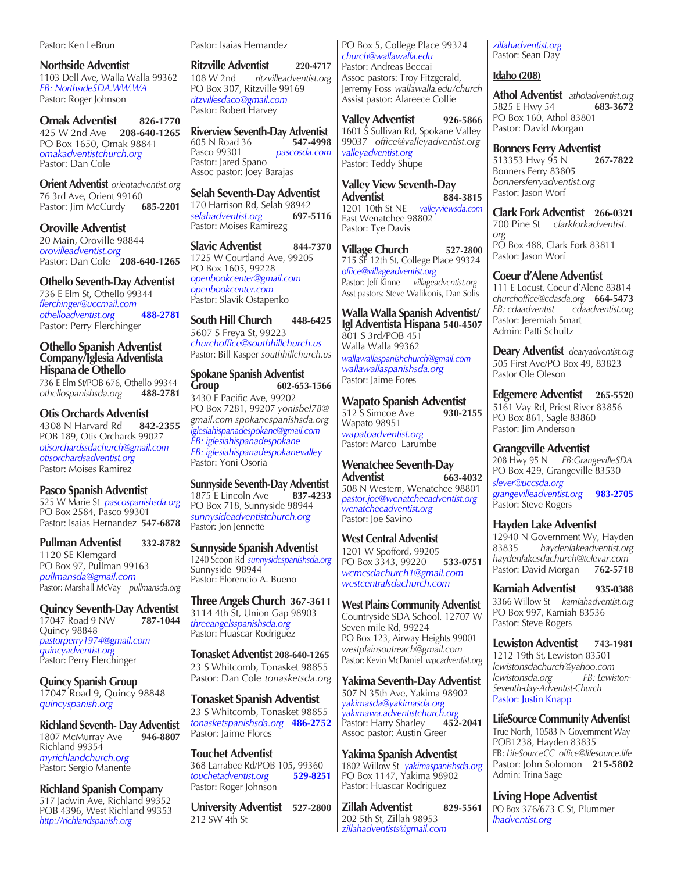Pastor: Ken LeBrun

**Northside Adventist** 1103 Dell Ave, Walla Walla 99362 *FB: NorthsideSDA.WW.WA* Pastor: Roger Johnson

**Omak Adventist 826-1770** 425 W 2nd Ave **208-640-1265** PO Box 1650, Omak 98841 *omakadventistchurch.org* Pastor: Dan Cole

**Orient Adventist** *orientadventist.org* 76 3rd Ave, Orient 99160<br>Pastor: Jim McCurdy 685-2201 Pastor: Jim McCurdy

**Oroville Adventist**  20 Main, Oroville 98844 *orovilleadventist.org* Pastor: Dan Cole **208-640-1265**

#### **Othello Seventh-Day Adventist**

736 E Elm St, Othello 99344 *flerchinger@uccmail.com othelloadventist.org* **488-2781** Pastor: Perry Flerchinger

#### **Othello Spanish Adventist Company/Iglesia Adventista Hispana de Othello**

736 E Elm St/POB 676, Othello 99344 *othellospanishsda.org* **488-2781**

#### **Otis Orchards Adventist**

4308 N Harvard Rd **842-2355** POB 189, Otis Orchards 99027 *otisorchardssdachurch@gmail.com otisorchardsadventist.org* Pastor: Moises Ramirez

#### **Pasco Spanish Adventist**

525 W Marie St *pascospanishsda.org* PO Box 2584, Pasco 99301 Pastor: Isaias Hernandez **547-6878**

**Pullman Adventist 332-8782** 1120 SE Klemgard PO Box 97, Pullman 99163 *pullmansda@gmail.com* Pastor: Marshall McVay *pullmansda.org*

**Quincy Seventh-Day Adventist**  17047 Road 9 NW **787-1044** Quincy 98848 *pastorperry1974@gmail.com quincyadventist.org* Pastor: Perry Flerchinger

**Quincy Spanish Group** 17047 Road 9, Quincy 98848 *quincyspanish.org*

**Richland Seventh- Day Adventist** 1807 McMurray Ave Richland 99354 *myrichlandchurch.org* Pastor: Sergio Manente

**Richland Spanish Company** 517 Jadwin Ave, Richland 99352 POB 4396, West Richland 99353 *http://richlandspanish.org*

Pastor: Isaias Hernandez

**Ritzville Adventist 220-4717** 108 W 2nd *ritzvilleadventist.org* PO Box 307, Ritzville 99169 *ritzvillesdaco@gmail.com* Pastor: Robert Harvey

**Riverview Seventh-Day Adventist**  605 N Road 36<br>Pasco 99301 Pasco 99301 *pascosda.com* Pastor: Jared Spano Assoc pastor: Joey Barajas

**Selah Seventh-Day Adventist**  170 Harrison Rd, Selah 98942<br>selahadventist.org 697-5116  $self: 100$ Pastor: Moises Ramirezg

**Slavic Adventist 844-7370** 1725 W Courtland Ave, 99205 PO Box 1605, 99228 *openbookcenter@gmail.com openbookcenter.com* Pastor: Slavik Ostapenko

**South Hill Church 448-6425** 5607 S Freya St, 99223 *churchoffice@southhillchurch.us* Pastor: Bill Kasper *southhillchurch.us*

# **Spokane Spanish Adventist**

**Group 602-653-1566** 3430 E Pacific Ave, 99202 PO Box 7281, 99207 *yonisbel78@ gmail.com spokanespanishsda.org iglesiahispanadespokane@gmail.com FB: iglesiahispanadespokane FB: iglesiahispanadespokanevalley* Pastor: Yoni Osoria

**Sunnyside Seventh-Day Adventist 1875 E Lincoln Ave 837-4233** 1875<sup>'</sup>E Lincoln Ave PO Box 718, Sunnyside 98944 *sunnysideadventistchurch.org* Pastor: Jon Jennette

**Sunnyside Spanish Adventist** 1240 Scoon Rd *sunnysidespanishsda.org* Sunnyside 98944 Pastor: Florencio A. Bueno

**Three Angels Church 367-3611** 3114 4th St, Union Gap 98903 *threeangelsspanishsda.org* Pastor: Huascar Rodriguez

**Tonasket Adventist 208-640-1265** 23 S Whitcomb, Tonasket 98855 Pastor: Dan Cole *tonasketsda.org*

**Tonasket Spanish Adventist** 23 S Whitcomb, Tonasket 98855 *tonasketspanishsda.org* **486-2752** Pastor: Jaime Flores

**Touchet Adventist** 368 Larrabee Rd/POB 105, 99360<br>touchetadventist.org 529-8251 *touchetadventist.org* **529-8251** Pastor: Roger Johnson

**University Adventist 527-2800** 212 SW 4th St

PO Box 5, College Place 99324 *church@wallawalla.edu* Pastor: Andreas Beccai Assoc pastors: Troy Fitzgerald, Jerremy Foss *wallawalla.edu/church* Assist pastor: Alareece Collie

**Valley Adventist 926-5866** 1601 S Sullivan Rd, Spokane Valley 99037*office@valleyadventist.org valleyadventist.org* Pastor: Teddy Shupe

**Valley View Seventh-Day Adventist 884-3815** 1201 10th St NE *valleyviewsda.com* East Wenatchee 98802 Pastor: Tye Davis

**Village Church 527-2800** 715 SE 12th St, College Place 99324 *office@villageadventist.org*  Pastor: Jeff Kinne *villageadventist.org* Asst pastors: Steve Walikonis, Dan Solis

**Walla Walla Spanish Adventist/ Igl Adventista Hispana 540-4507** 801 S 3rd*/*POB 451 Walla Walla 99362 *wallawallaspanishchurch@gmail.com wallawallaspanishsda.org* Pastor: Jaime Fores

**Wapato Spanish Adventist**<br>512 S Simcoe Ave 930-2155 512 S Simcoe Ave Wapato 98951 *wapatoadventist.org* Pastor: Marco Larumbe

**Wenatchee Seventh-Day Adventist 663-4032** 508 N Western, Wenatchee 98801 *pastor.joe@wenatcheeadventist.org wenatcheeadventist.org* Pastor: Joe Savino

**West Central Adventist** 1201 W Spofford, 99205 PO Box 3343, 99220 **533-0751** *wcmcsdachurch1@gmail.com westcentralsdachurch.com*

**West Plains Community Adventist** Countryside SDA School, 12707 W Seven mile Rd, 99224 PO Box 123, Airway Heights 99001 *westplainsoutreach@gmail.com* Pastor: Kevin McDaniel *wpcadventist.org*

**Yakima Seventh-Day Adventist** 507 N 35th Ave, Yakima 98902 *yakimasda@yakimasda.org yakimawa.adventistchurch.org* Pastor: Harry Sharley Assoc pastor: Austin Greer

**Yakima Spanish Adventist** 1802 Willow St *yakimaspanishsda.org* PO Box 1147, Yakima 98902 Pastor: Huascar Rodriguez

**Zillah Adventist 829-5561** 202 5th St, Zillah 98953 *zillahadventists@gmail.com*

*zillahadventist.org* Pastor: Sean Day

#### **Idaho (208)**

**Athol Adventist** *atholadventist.org* 5825 E Hwy 54 PO Box 160, Athol 83801 Pastor: David Morgan

**Bonners Ferry Adventist** 513353 Hwy 95 N **267-7822** Bonners Ferry 83805 *bonnersferryadventist.org* Pastor: Jason Worf

**Clark Fork Adventist 266-0321** 700 Pine St *clarkforkadventist. org* PO Box 488, Clark Fork 83811 Pastor: Jason Worf

**Coeur d'Alene Adventist**

111 E Locust, Coeur d'Alene 83814 *churchoffice@cdasda.org*  **664-5473** *FB: cdaadventist cdaadventist.org* Pastor: Jeremiah Smart Admin: Patti Schultz

**Deary Adventist** *dearyadventist.org* 505 First Ave/PO Box 49, 83823 Pastor Ole Oleson

**Edgemere Adventist 265-5520** 5161 Vay Rd, Priest River 83856 PO Box 861, Sagle 83860 Pastor: Jim Anderson

**Grangeville Adventist**

208 Hwy 95 N *FB:GrangevilleSDA* PO Box 429, Grangeville 83530 *slever@uccsda.org grangevilleadventist.org* **983-2705** Pastor: Steve Rogers

**Hayden Lake Adventist**

12940 N Government Wy, Hayden 83835 *haydenlakeadventist.org haydenlakesdachurch@televar.com* Pastor: David Morgan

**Kamiah Adventist 935-0388** 3366 Willow St *kamiahadventist.org* PO Box 997, Kamiah 83536 Pastor: Steve Rogers

**Lewiston Adventist 743-1981** 1212 19th St, Lewiston 83501 *lewistonsdachurch@yahoo.com lewistonsda.org Seventh-day-Adventist-Church* Pastor: Justin Knapp

**LifeSource Community Adventist** True North, 10583 N Government Way POB1238, Hayden 83835 FB: *LifeSourceCC office@lifesource.life* Pastor: John Solomon **215-5802** Admin: Trina Sage

**Living Hope Adventist** PO Box 376/673 C St, Plummer *lhadventist.org*